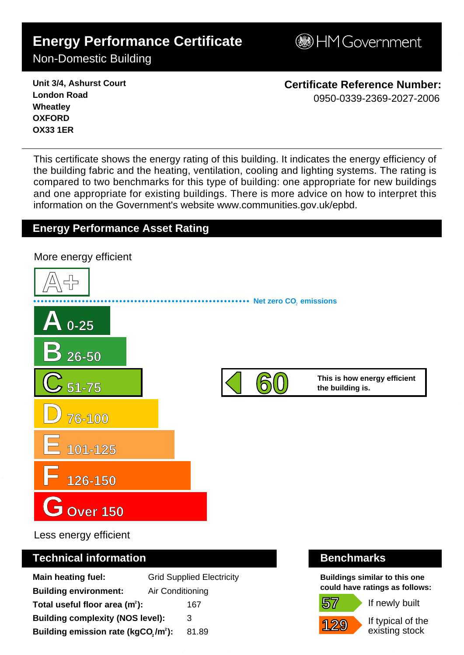# **Energy Performance Certificate**

**BHM Government** 

Non-Domestic Building

**Unit 3/4, Ashurst Court London Road Wheatley OXFORD OX33 1ER**

**Certificate Reference Number:** 0950-0339-2369-2027-2006

This certificate shows the energy rating of this building. It indicates the energy efficiency of the building fabric and the heating, ventilation, cooling and lighting systems. The rating is compared to two benchmarks for this type of building: one appropriate for new buildings and one appropriate for existing buildings. There is more advice on how to interpret this information on the Government's websit[e www.communities.gov.uk/epbd.](http://www.communities.gov.uk/epbd)

## **Energy Performance Asset Rating**



Less energy efficient

### **Technical information Benchmarks**

| <b>Main heating fuel:</b>                       | <b>Grid Supplied Electricity</b> |
|-------------------------------------------------|----------------------------------|
| <b>Building environment:</b>                    | Air Conditioning                 |
| Total useful floor area $(m2)$ :                | 167                              |
| <b>Building complexity (NOS level):</b>         | 3                                |
| Building emission rate (kgCO,/m <sup>2</sup> ): | 81.89                            |

**Buildings similar to this one could have ratings as follows:**

**57 129**

If newly built

If typical of the existing stock